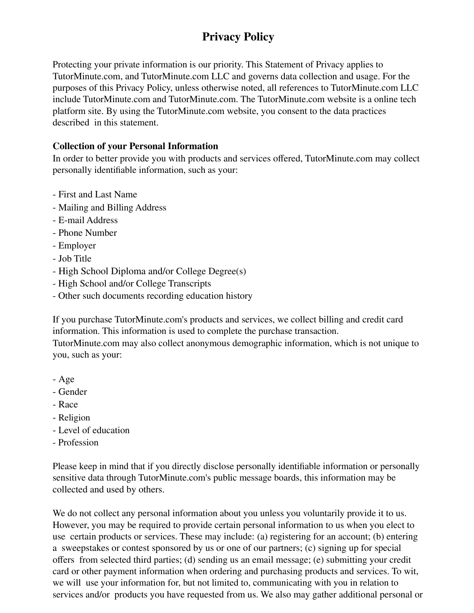# **Privacy Policy**

Protecting your private information is our priority. This Statement of Privacy applies to TutorMinute.com, and TutorMinute.com LLC and governs data collection and usage. For the purposes of this Privacy Policy, unless otherwise noted, all references to TutorMinute.com LLC include TutorMinute.com and TutorMinute.com. The TutorMinute.com website is a online tech platform site. By using the TutorMinute.com website, you consent to the data practices described in this statement.

## **Collection of your Personal Information**

In order to better provide you with products and services offered, TutorMinute.com may collect personally identifiable information, such as your:

- First and Last Name
- Mailing and Billing Address
- E-mail Address
- Phone Number
- Employer
- Job Title
- High School Diploma and/or College Degree(s)
- High School and/or College Transcripts
- Other such documents recording education history

If you purchase TutorMinute.com's products and services, we collect billing and credit card information. This information is used to complete the purchase transaction.

TutorMinute.com may also collect anonymous demographic information, which is not unique to you, such as your:

- Age
- Gender
- Race
- Religion
- Level of education
- Profession

Please keep in mind that if you directly disclose personally identifiable information or personally sensitive data through TutorMinute.com's public message boards, this information may be collected and used by others.

We do not collect any personal information about you unless you voluntarily provide it to us. However, you may be required to provide certain personal information to us when you elect to use certain products or services. These may include: (a) registering for an account; (b) entering a sweepstakes or contest sponsored by us or one of our partners; (c) signing up for special offers from selected third parties; (d) sending us an email message; (e) submitting your credit card or other payment information when ordering and purchasing products and services. To wit, we will use your information for, but not limited to, communicating with you in relation to services and/or products you have requested from us. We also may gather additional personal or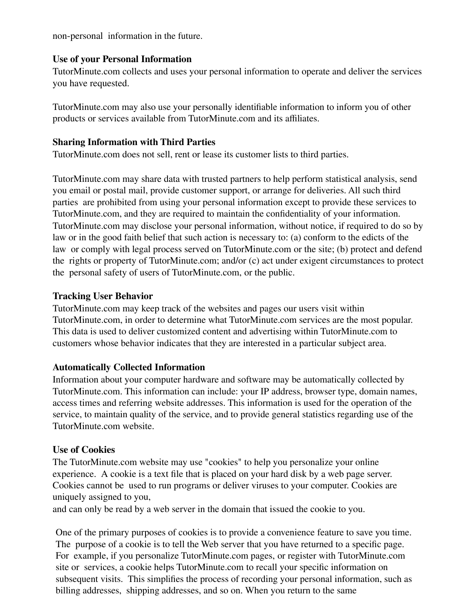non-personal information in the future.

#### **Use of your Personal Information**

TutorMinute.com collects and uses your personal information to operate and deliver the services you have requested.

TutorMinute.com may also use your personally identifiable information to inform you of other products or services available from TutorMinute.com and its affiliates.

## **Sharing Information with Third Parties**

TutorMinute.com does not sell, rent or lease its customer lists to third parties.

TutorMinute.com may share data with trusted partners to help perform statistical analysis, send you email or postal mail, provide customer support, or arrange for deliveries. All such third parties are prohibited from using your personal information except to provide these services to TutorMinute.com, and they are required to maintain the confidentiality of your information. TutorMinute.com may disclose your personal information, without notice, if required to do so by law or in the good faith belief that such action is necessary to: (a) conform to the edicts of the law or comply with legal process served on TutorMinute.com or the site; (b) protect and defend the rights or property of TutorMinute.com; and/or (c) act under exigent circumstances to protect the personal safety of users of TutorMinute.com, or the public.

## **Tracking User Behavior**

TutorMinute.com may keep track of the websites and pages our users visit within TutorMinute.com, in order to determine what TutorMinute.com services are the most popular. This data is used to deliver customized content and advertising within TutorMinute.com to customers whose behavior indicates that they are interested in a particular subject area.

# **Automatically Collected Information**

Information about your computer hardware and software may be automatically collected by TutorMinute.com. This information can include: your IP address, browser type, domain names, access times and referring website addresses. This information is used for the operation of the service, to maintain quality of the service, and to provide general statistics regarding use of the TutorMinute.com website.

# **Use of Cookies**

The TutorMinute.com website may use "cookies" to help you personalize your online experience. A cookie is a text file that is placed on your hard disk by a web page server. Cookies cannot be used to run programs or deliver viruses to your computer. Cookies are uniquely assigned to you,

and can only be read by a web server in the domain that issued the cookie to you.

One of the primary purposes of cookies is to provide a convenience feature to save you time. The purpose of a cookie is to tell the Web server that you have returned to a specific page. For example, if you personalize TutorMinute.com pages, or register with TutorMinute.com site or services, a cookie helps TutorMinute.com to recall your specific information on subsequent visits. This simplifies the process of recording your personal information, such as billing addresses, shipping addresses, and so on. When you return to the same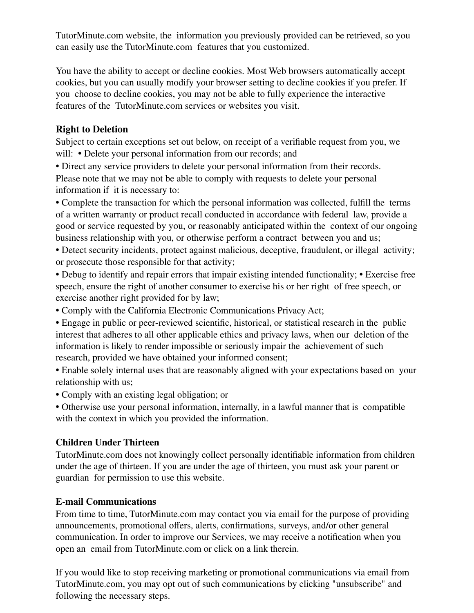TutorMinute.com website, the information you previously provided can be retrieved, so you can easily use the TutorMinute.com features that you customized.

You have the ability to accept or decline cookies. Most Web browsers automatically accept cookies, but you can usually modify your browser setting to decline cookies if you prefer. If you choose to decline cookies, you may not be able to fully experience the interactive features of the TutorMinute.com services or websites you visit.

# **Right to Deletion**

Subject to certain exceptions set out below, on receipt of a verifiable request from you, we will: • Delete your personal information from our records; and

• Direct any service providers to delete your personal information from their records. Please note that we may not be able to comply with requests to delete your personal information if it is necessary to:

• Complete the transaction for which the personal information was collected, fulfill the terms of a written warranty or product recall conducted in accordance with federal law, provide a good or service requested by you, or reasonably anticipated within the context of our ongoing business relationship with you, or otherwise perform a contract between you and us;

• Detect security incidents, protect against malicious, deceptive, fraudulent, or illegal activity; or prosecute those responsible for that activity;

• Debug to identify and repair errors that impair existing intended functionality; • Exercise free speech, ensure the right of another consumer to exercise his or her right of free speech, or exercise another right provided for by law;

• Comply with the California Electronic Communications Privacy Act;

• Engage in public or peer-reviewed scientific, historical, or statistical research in the public interest that adheres to all other applicable ethics and privacy laws, when our deletion of the information is likely to render impossible or seriously impair the achievement of such research, provided we have obtained your informed consent;

• Enable solely internal uses that are reasonably aligned with your expectations based on your relationship with us;

• Comply with an existing legal obligation; or

• Otherwise use your personal information, internally, in a lawful manner that is compatible with the context in which you provided the information.

#### **Children Under Thirteen**

TutorMinute.com does not knowingly collect personally identifiable information from children under the age of thirteen. If you are under the age of thirteen, you must ask your parent or guardian for permission to use this website.

#### **E-mail Communications**

From time to time, TutorMinute.com may contact you via email for the purpose of providing announcements, promotional offers, alerts, confirmations, surveys, and/or other general communication. In order to improve our Services, we may receive a notification when you open an email from TutorMinute.com or click on a link therein.

If you would like to stop receiving marketing or promotional communications via email from TutorMinute.com, you may opt out of such communications by clicking "unsubscribe" and following the necessary steps.